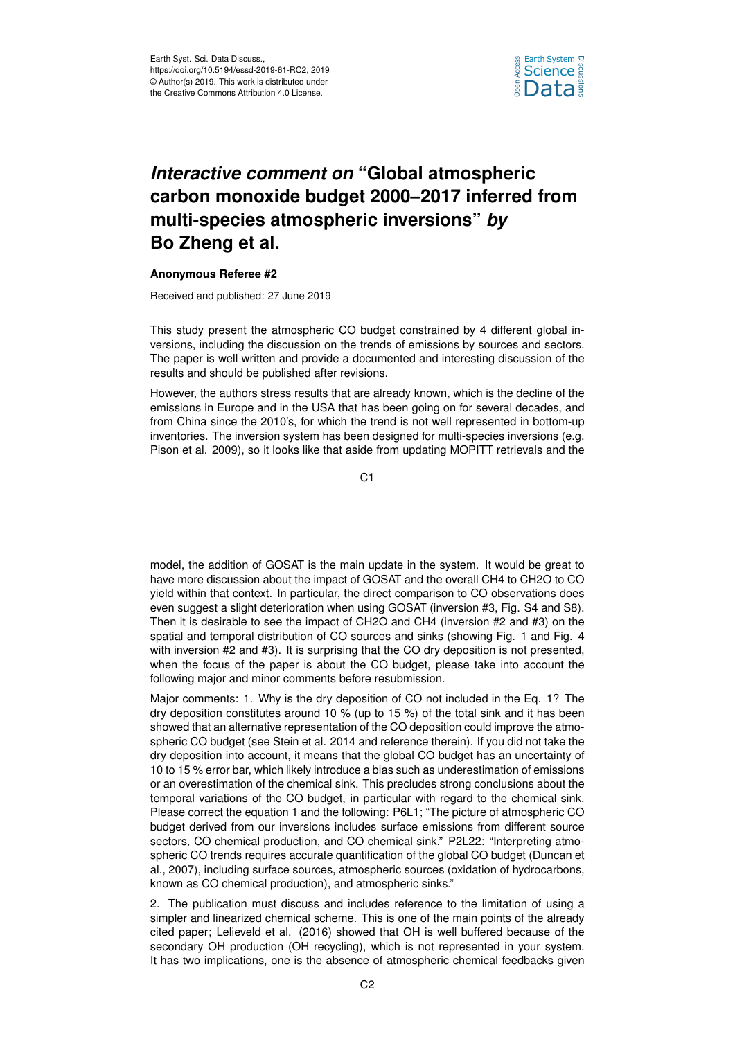

# *Interactive comment on* **"Global atmospheric carbon monoxide budget 2000–2017 inferred from multi-species atmospheric inversions"** *by* **Bo Zheng et al.**

### **Anonymous Referee #2**

Received and published: 27 June 2019

This study present the atmospheric CO budget constrained by 4 different global inversions, including the discussion on the trends of emissions by sources and sectors. The paper is well written and provide a documented and interesting discussion of the results and should be published after revisions.

However, the authors stress results that are already known, which is the decline of the emissions in Europe and in the USA that has been going on for several decades, and from China since the 2010's, for which the trend is not well represented in bottom-up inventories. The inversion system has been designed for multi-species inversions (e.g. Pison et al. 2009), so it looks like that aside from updating MOPITT retrievals and the

C1

model, the addition of GOSAT is the main update in the system. It would be great to have more discussion about the impact of GOSAT and the overall CH4 to CH2O to CO yield within that context. In particular, the direct comparison to CO observations does even suggest a slight deterioration when using GOSAT (inversion #3, Fig. S4 and S8). Then it is desirable to see the impact of CH2O and CH4 (inversion #2 and #3) on the spatial and temporal distribution of CO sources and sinks (showing Fig. 1 and Fig. 4 with inversion #2 and #3). It is surprising that the CO dry deposition is not presented, when the focus of the paper is about the CO budget, please take into account the following major and minor comments before resubmission.

Major comments: 1. Why is the dry deposition of CO not included in the Eq. 1? The dry deposition constitutes around 10 % (up to 15 %) of the total sink and it has been showed that an alternative representation of the CO deposition could improve the atmospheric CO budget (see Stein et al. 2014 and reference therein). If you did not take the dry deposition into account, it means that the global CO budget has an uncertainty of 10 to 15 % error bar, which likely introduce a bias such as underestimation of emissions or an overestimation of the chemical sink. This precludes strong conclusions about the temporal variations of the CO budget, in particular with regard to the chemical sink. Please correct the equation 1 and the following: P6L1; "The picture of atmospheric CO budget derived from our inversions includes surface emissions from different source sectors, CO chemical production, and CO chemical sink." P2L22: "Interpreting atmospheric CO trends requires accurate quantification of the global CO budget (Duncan et al., 2007), including surface sources, atmospheric sources (oxidation of hydrocarbons, known as CO chemical production), and atmospheric sinks."

2. The publication must discuss and includes reference to the limitation of using a simpler and linearized chemical scheme. This is one of the main points of the already cited paper; Lelieveld et al. (2016) showed that OH is well buffered because of the secondary OH production (OH recycling), which is not represented in your system. It has two implications, one is the absence of atmospheric chemical feedbacks given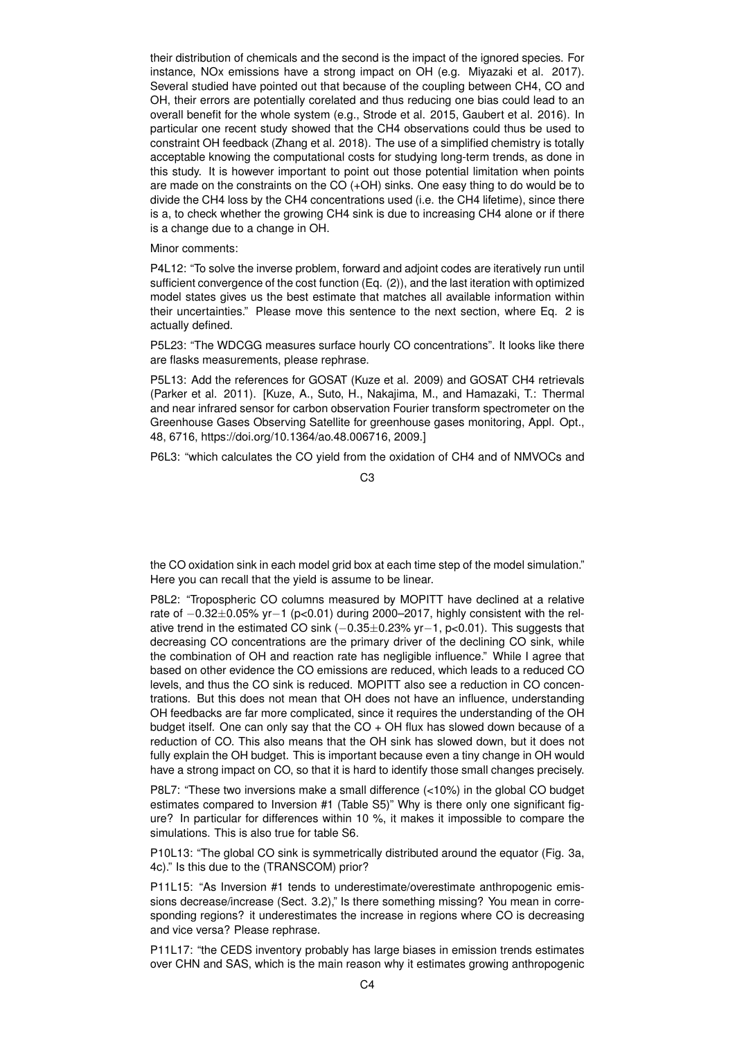their distribution of chemicals and the second is the impact of the ignored species. For instance, NOx emissions have a strong impact on OH (e.g. Miyazaki et al. 2017). Several studied have pointed out that because of the coupling between CH4, CO and OH, their errors are potentially corelated and thus reducing one bias could lead to an overall benefit for the whole system (e.g., Strode et al. 2015, Gaubert et al. 2016). In particular one recent study showed that the CH4 observations could thus be used to constraint OH feedback (Zhang et al. 2018). The use of a simplified chemistry is totally acceptable knowing the computational costs for studying long-term trends, as done in this study. It is however important to point out those potential limitation when points are made on the constraints on the CO (+OH) sinks. One easy thing to do would be to divide the CH4 loss by the CH4 concentrations used (i.e. the CH4 lifetime), since there is a, to check whether the growing CH4 sink is due to increasing CH4 alone or if there is a change due to a change in OH.

#### Minor comments:

P4L12: "To solve the inverse problem, forward and adjoint codes are iteratively run until sufficient convergence of the cost function (Eq. (2)), and the last iteration with optimized model states gives us the best estimate that matches all available information within their uncertainties." Please move this sentence to the next section, where Eq. 2 is actually defined.

P5L23: "The WDCGG measures surface hourly CO concentrations". It looks like there are flasks measurements, please rephrase.

P5L13: Add the references for GOSAT (Kuze et al. 2009) and GOSAT CH4 retrievals (Parker et al. 2011). [Kuze, A., Suto, H., Nakajima, M., and Hamazaki, T.: Thermal and near infrared sensor for carbon observation Fourier transform spectrometer on the Greenhouse Gases Observing Satellite for greenhouse gases monitoring, Appl. Opt., 48, 6716, https://doi.org/10.1364/ao.48.006716, 2009.]

P6L3: "which calculates the CO yield from the oxidation of CH4 and of NMVOCs and

the CO oxidation sink in each model grid box at each time step of the model simulation." Here you can recall that the yield is assume to be linear.

P8L2: "Tropospheric CO columns measured by MOPITT have declined at a relative rate of −0.32±0.05% yr−1 (p<0.01) during 2000–2017, highly consistent with the relative trend in the estimated CO sink (−0.35±0.23% yr−1, p<0.01). This suggests that decreasing CO concentrations are the primary driver of the declining CO sink, while the combination of OH and reaction rate has negligible influence." While I agree that based on other evidence the CO emissions are reduced, which leads to a reduced CO levels, and thus the CO sink is reduced. MOPITT also see a reduction in CO concentrations. But this does not mean that OH does not have an influence, understanding OH feedbacks are far more complicated, since it requires the understanding of the OH budget itself. One can only say that the CO + OH flux has slowed down because of a reduction of CO. This also means that the OH sink has slowed down, but it does not fully explain the OH budget. This is important because even a tiny change in OH would have a strong impact on CO, so that it is hard to identify those small changes precisely.

P8L7: "These two inversions make a small difference (<10%) in the global CO budget estimates compared to Inversion #1 (Table S5)" Why is there only one significant figure? In particular for differences within 10 %, it makes it impossible to compare the simulations. This is also true for table S6.

P10L13: "The global CO sink is symmetrically distributed around the equator (Fig. 3a, 4c)." Is this due to the (TRANSCOM) prior?

P11L15: "As Inversion #1 tends to underestimate/overestimate anthropogenic emissions decrease/increase (Sect. 3.2)," Is there something missing? You mean in corresponding regions? it underestimates the increase in regions where CO is decreasing and vice versa? Please rephrase.

P11L17: "the CEDS inventory probably has large biases in emission trends estimates over CHN and SAS, which is the main reason why it estimates growing anthropogenic

 $C<sub>3</sub>$